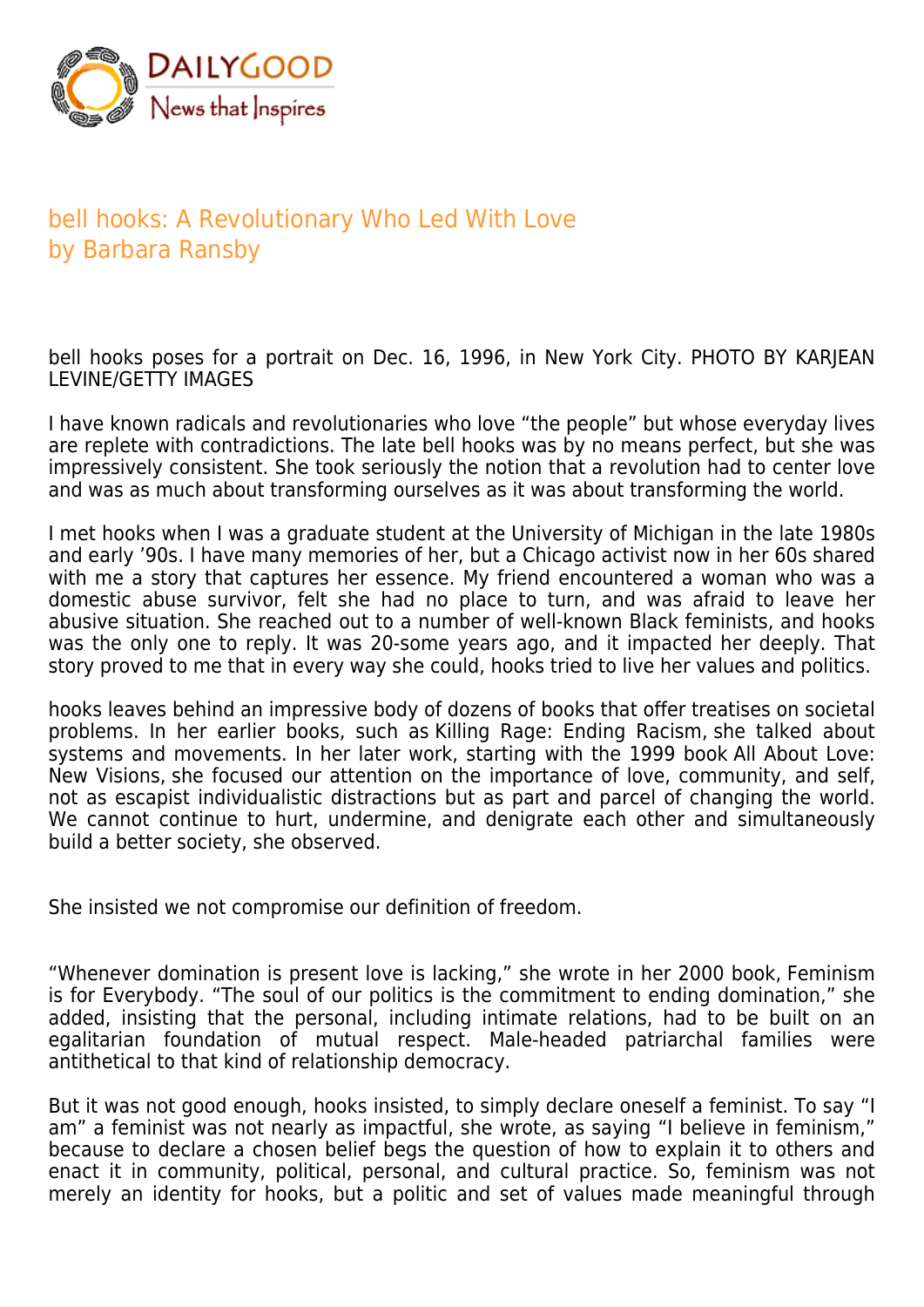

## bell hooks: A Revolutionary Who Led With Love by Barbara Ransby

bell hooks poses for a portrait on Dec. 16, 1996, in New York City. PHOTO BY KARJEAN LEVINE/GETTY IMAGES

I have known radicals and revolutionaries who love "the people" but whose everyday lives are replete with contradictions. The late bell hooks was by no means perfect, but she was impressively consistent. She took seriously the notion that a revolution had to center love and was as much about transforming ourselves as it was about transforming the world.

I met hooks when I was a graduate student at the University of Michigan in the late 1980s and early '90s. I have many memories of her, but a Chicago activist now in her 60s shared with me a story that captures her essence. My friend encountered a woman who was a domestic abuse survivor, felt she had no place to turn, and was afraid to leave her abusive situation. She reached out to a number of well-known Black feminists, and hooks was the only one to reply. It was 20-some years ago, and it impacted her deeply. That story proved to me that in every way she could, hooks tried to live her values and politics.

hooks leaves behind an impressive body of dozens of books that offer treatises on societal problems. In her earlier books, such as Killing Rage: Ending Racism, she talked about systems and movements. In her later work, starting with the 1999 book All About Love: New Visions, she focused our attention on the importance of love, community, and self, not as escapist individualistic distractions but as part and parcel of changing the world. We cannot continue to hurt, undermine, and denigrate each other and simultaneously build a better society, she observed.

She insisted we not compromise our definition of freedom.

"Whenever domination is present love is lacking," she wrote in her 2000 book, Feminism is for Everybody. "The soul of our politics is the commitment to ending domination," she added, insisting that the personal, including intimate relations, had to be built on an egalitarian foundation of mutual respect. Male-headed patriarchal families were antithetical to that kind of relationship democracy.

But it was not good enough, hooks insisted, to simply declare oneself a feminist. To say "I am" a feminist was not nearly as impactful, she wrote, as saying "I believe in feminism," because to declare a chosen belief begs the question of how to explain it to others and enact it in community, political, personal, and cultural practice. So, feminism was not merely an identity for hooks, but a politic and set of values made meaningful through